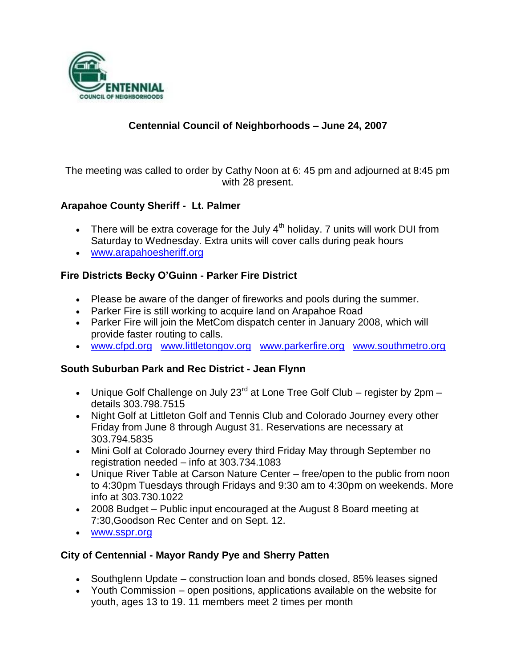

# **Centennial Council of Neighborhoods – June 24, 2007**

The meeting was called to order by Cathy Noon at 6: 45 pm and adjourned at 8:45 pm with 28 present.

#### **Arapahoe County Sheriff - Lt. Palmer**

- There will be extra coverage for the July  $4<sup>th</sup>$  holiday. 7 units will work DUI from Saturday to Wednesday. Extra units will cover calls during peak hours
- [www.arapahoesheriff.org](http://www.arapahoesheriff.org/)

#### **Fire Districts Becky O'Guinn - Parker Fire District**

- Please be aware of the danger of fireworks and pools during the summer.
- Parker Fire is still working to acquire land on Arapahoe Road
- Parker Fire will join the MetCom dispatch center in January 2008, which will provide faster routing to calls.
- [www.cfpd.org](http://www.cfpd.org/) [www.littletongov.org](http://www.littletongov.org/) [www.parkerfire.org](http://www.parkerfire.org/) [www.southmetro.org](http://www.southmetro.org/)

#### **South Suburban Park and Rec District - Jean Flynn**

- Unique Golf Challenge on July 23 $^{rd}$  at Lone Tree Golf Club register by 2pm details 303.798.7515
- Night Golf at Littleton Golf and Tennis Club and Colorado Journey every other Friday from June 8 through August 31. Reservations are necessary at 303.794.5835
- Mini Golf at Colorado Journey every third Friday May through September no registration needed – info at 303.734.1083
- Unique River Table at Carson Nature Center free/open to the public from noon to 4:30pm Tuesdays through Fridays and 9:30 am to 4:30pm on weekends. More info at 303.730.1022
- 2008 Budget Public input encouraged at the August 8 Board meeting at 7:30,Goodson Rec Center and on Sept. 12.
- [www.sspr.org](http://www.sspr.org/)

## **City of Centennial - Mayor Randy Pye and Sherry Patten**

- Southglenn Update construction loan and bonds closed, 85% leases signed
- Youth Commission open positions, applications available on the website for youth, ages 13 to 19. 11 members meet 2 times per month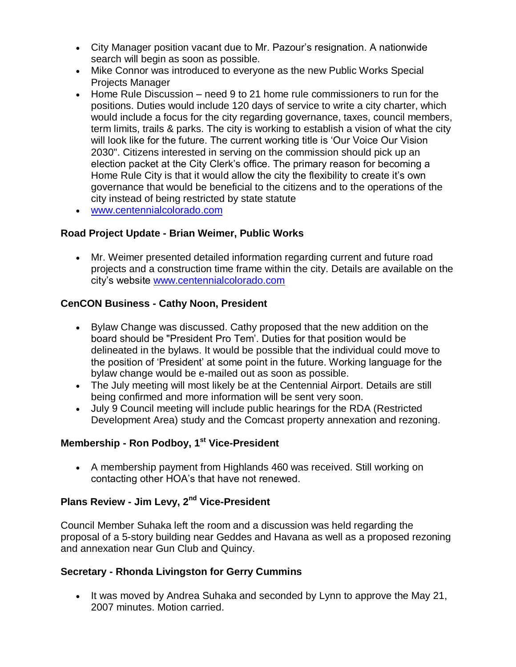- City Manager position vacant due to Mr. Pazour's resignation. A nationwide search will begin as soon as possible.
- Mike Connor was introduced to everyone as the new Public Works Special Projects Manager
- Home Rule Discussion need 9 to 21 home rule commissioners to run for the positions. Duties would include 120 days of service to write a city charter, which would include a focus for the city regarding governance, taxes, council members, term limits, trails & parks. The city is working to establish a vision of what the city will look like for the future. The current working title is 'Our Voice Our Vision 2030". Citizens interested in serving on the commission should pick up an election packet at the City Clerk's office. The primary reason for becoming a Home Rule City is that it would allow the city the flexibility to create it's own governance that would be beneficial to the citizens and to the operations of the city instead of being restricted by state statute
- [www.centennialcolorado.com](http://www.centennialcolorado.com/)

## **Road Project Update - Brian Weimer, Public Works**

 Mr. Weimer presented detailed information regarding current and future road projects and a construction time frame within the city. Details are available on the city's website [www.centennialcolorado.com](http://www.centennialcolorado.com/)

## **CenCON Business - Cathy Noon, President**

- Bylaw Change was discussed. Cathy proposed that the new addition on the board should be "President Pro Tem'. Duties for that position would be delineated in the bylaws. It would be possible that the individual could move to the position of 'President' at some point in the future. Working language for the bylaw change would be e-mailed out as soon as possible.
- The July meeting will most likely be at the Centennial Airport. Details are still being confirmed and more information will be sent very soon.
- July 9 Council meeting will include public hearings for the RDA (Restricted Development Area) study and the Comcast property annexation and rezoning.

## **Membership - Ron Podboy, 1st Vice-President**

 A membership payment from Highlands 460 was received. Still working on contacting other HOA's that have not renewed.

#### **Plans Review - Jim Levy, 2nd Vice-President**

Council Member Suhaka left the room and a discussion was held regarding the proposal of a 5-story building near Geddes and Havana as well as a proposed rezoning and annexation near Gun Club and Quincy.

## **Secretary - Rhonda Livingston for Gerry Cummins**

• It was moved by Andrea Suhaka and seconded by Lynn to approve the May 21, 2007 minutes. Motion carried.